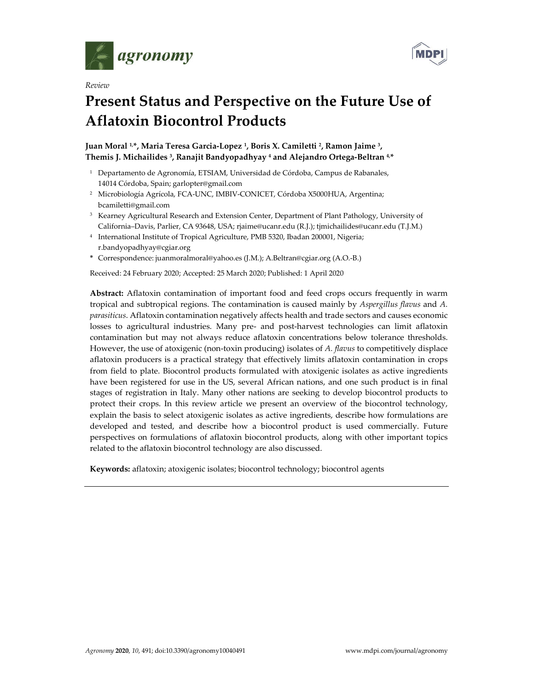

*Review*



# **Present Status and Perspective on the Future Use of Aflatoxin Biocontrol Products**

**Juan Moral 1,\*, Maria Teresa Garcia-Lopez 1, Boris X. Camiletti 2, Ramon Jaime 3, Themis J. Michailides 3, Ranajit Bandyopadhyay <sup>4</sup> and Alejandro Ortega-Beltran 4,\***

- <sup>1</sup> Departamento de Agronomía, ETSIAM, Universidad de Córdoba, Campus de Rabanales, 14014 Córdoba, Spain; garlopter@gmail.com
- <sup>2</sup> Microbiología Agrícola, FCA-UNC, IMBIV-CONICET, Córdoba X5000HUA, Argentina; bcamiletti@gmail.com
- <sup>3</sup> Kearney Agricultural Research and Extension Center, Department of Plant Pathology, University of California–Davis, Parlier, CA 93648, USA; rjaime@ucanr.edu (R.J.); tjmichailides@ucanr.edu (T.J.M.)
- <sup>4</sup> International Institute of Tropical Agriculture, PMB 5320, Ibadan 200001, Nigeria; r.bandyopadhyay@cgiar.org
- **\*** Correspondence: juanmoralmoral@yahoo.es (J.M.); A.Beltran@cgiar.org (A.O.-B.)

Received: 24 February 2020; Accepted: 25 March 2020; Published: 1 April 2020

**Abstract:** Aflatoxin contamination of important food and feed crops occurs frequently in warm tropical and subtropical regions. The contamination is caused mainly by *Aspergillus flavus* and *A. parasiticus*. Aflatoxin contamination negatively affects health and trade sectors and causes economic losses to agricultural industries. Many pre- and post-harvest technologies can limit aflatoxin contamination but may not always reduce aflatoxin concentrations below tolerance thresholds. However, the use of atoxigenic (non-toxin producing) isolates of *A. flavus* to competitively displace aflatoxin producers is a practical strategy that effectively limits aflatoxin contamination in crops from field to plate. Biocontrol products formulated with atoxigenic isolates as active ingredients have been registered for use in the US, several African nations, and one such product is in final stages of registration in Italy. Many other nations are seeking to develop biocontrol products to protect their crops. In this review article we present an overview of the biocontrol technology, explain the basis to select atoxigenic isolates as active ingredients, describe how formulations are developed and tested, and describe how a biocontrol product is used commercially. Future perspectives on formulations of aflatoxin biocontrol products, along with other important topics related to the aflatoxin biocontrol technology are also discussed.

**Keywords:** aflatoxin; atoxigenic isolates; biocontrol technology; biocontrol agents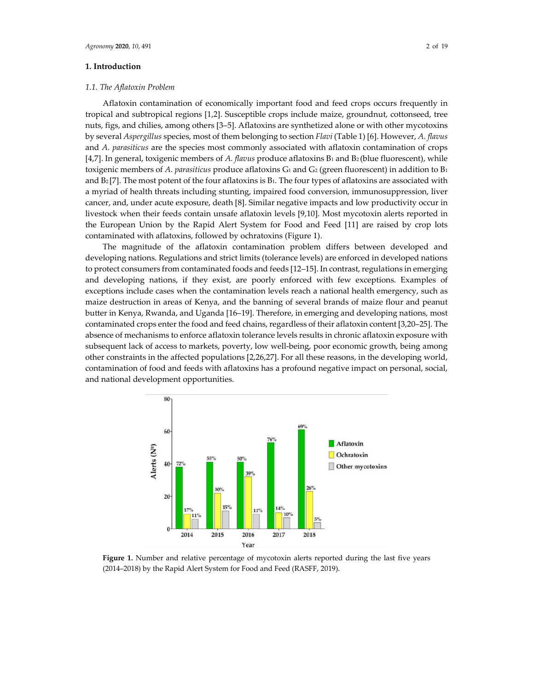## **1. Introduction**

## *1.1. The Aflatoxin Problem*

Aflatoxin contamination of economically important food and feed crops occurs frequently in tropical and subtropical regions [1,2]. Susceptible crops include maize, groundnut, cottonseed, tree nuts, figs, and chilies, among others [3–5]. Aflatoxins are synthetized alone or with other mycotoxins by several *Aspergillus* species, most of them belonging to section *Flavi* (Table 1) [6]. However, *A. flavus*  and *A. parasiticus* are the species most commonly associated with aflatoxin contamination of crops [4,7]. In general, toxigenic members of *A. flavus* produce aflatoxins B<sub>1</sub> and B<sub>2</sub> (blue fluorescent), while toxigenic members of *A. parasiticus* produce aflatoxins  $G_1$  and  $G_2$  (green fluorescent) in addition to  $B_1$ and  $B_2[7]$ . The most potent of the four aflatoxins is  $B_1$ . The four types of aflatoxins are associated with a myriad of health threats including stunting, impaired food conversion, immunosuppression, liver cancer, and, under acute exposure, death [8]. Similar negative impacts and low productivity occur in livestock when their feeds contain unsafe aflatoxin levels [9,10]. Most mycotoxin alerts reported in the European Union by the Rapid Alert System for Food and Feed [11] are raised by crop lots contaminated with aflatoxins, followed by ochratoxins (Figure 1).

The magnitude of the aflatoxin contamination problem differs between developed and developing nations. Regulations and strict limits (tolerance levels) are enforced in developed nations to protect consumers from contaminated foods and feeds [12–15]. In contrast, regulations in emerging and developing nations, if they exist, are poorly enforced with few exceptions. Examples of exceptions include cases when the contamination levels reach a national health emergency, such as maize destruction in areas of Kenya, and the banning of several brands of maize flour and peanut butter in Kenya, Rwanda, and Uganda [16–19]. Therefore, in emerging and developing nations, most contaminated crops enter the food and feed chains, regardless of their aflatoxin content [3,20–25]. The absence of mechanisms to enforce aflatoxin tolerance levels results in chronic aflatoxin exposure with subsequent lack of access to markets, poverty, low well-being, poor economic growth, being among other constraints in the affected populations [2,26,27]. For all these reasons, in the developing world, contamination of food and feeds with aflatoxins has a profound negative impact on personal, social, and national development opportunities.



**Figure 1.** Number and relative percentage of mycotoxin alerts reported during the last five years (2014–2018) by the Rapid Alert System for Food and Feed (RASFF, 2019).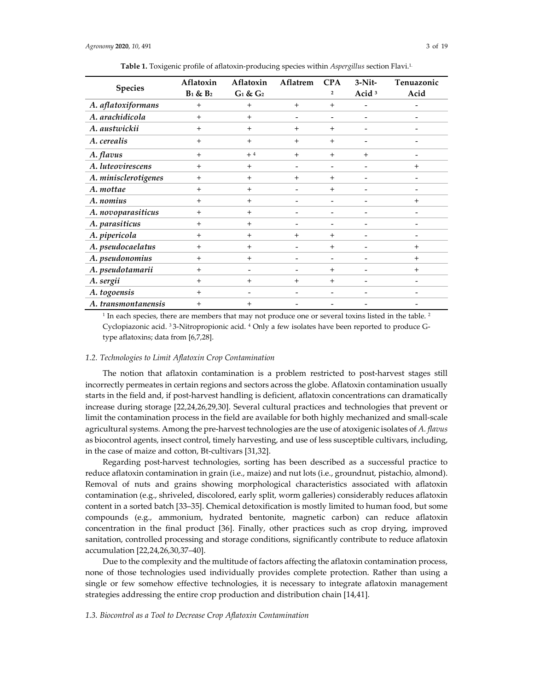| <b>Species</b>       | Aflatoxin<br>$B_1$ & $B_2$ | Aflatoxin<br>$G_1$ & $G_2$ | Aflatrem       | <b>CPA</b><br>2          | $3-Nit-$<br>Acid <sup>3</sup> | Tenuazonic<br>Acid |
|----------------------|----------------------------|----------------------------|----------------|--------------------------|-------------------------------|--------------------|
| A. aflatoxiformans   | $+$                        | $^{+}$                     | $+$            | $+$                      |                               |                    |
| A. arachidicola      | $+$                        | $^{+}$                     |                |                          |                               |                    |
| A. austwickii        | $+$                        | $\ddot{}$                  | $\ddot{}$      | $+$                      |                               |                    |
| A. cerealis          | $+$                        | $+$                        | $\ddot{}$      | $+$                      |                               |                    |
| A. flavus            | $+$                        | $+$ <sup>4</sup>           | $+$            | $+$                      | $+$                           |                    |
| A. luteovirescens    | $+$                        | $\ddot{}$                  |                |                          |                               | $+$                |
| A. minisclerotigenes | $+$                        | $+$                        | $+$            | $+$                      |                               |                    |
| A. mottae            | $+$                        | $\ddot{}$                  |                | $+$                      |                               |                    |
| A. nomius            | $^{+}$                     | $+$                        | $\overline{a}$ | $\overline{\phantom{0}}$ |                               | $+$                |
| A. novoparasiticus   | $+$                        | $^{+}$                     |                |                          |                               |                    |
| A. parasiticus       | $+$                        | $+$                        |                |                          |                               |                    |
| A. pipericola        | $+$                        | $\ddot{}$                  | $\ddot{}$      | $+$                      |                               |                    |
| A. pseudocaelatus    | $^{+}$                     | $^{+}$                     |                | $\ddot{}$                |                               | $\ddot{}$          |
| A. pseudonomius      | $+$                        | $\ddot{}$                  |                |                          |                               | $+$                |
| A. pseudotamarii     | $+$                        | $\overline{\phantom{m}}$   | $\overline{a}$ | $+$                      | ۰                             | $+$                |
| A. sergii            | $+$                        | $+$                        | $^{+}$         | $+$                      |                               |                    |
| A. togoensis         | $+$                        |                            |                |                          |                               |                    |
| A. transmontanensis  | $\ddot{}$                  | $^{+}$                     |                |                          |                               |                    |

**Table 1.** Toxigenic profile of aflatoxin-producing species within *Aspergillus* section Flavi.1.

 $1$  In each species, there are members that may not produce one or several toxins listed in the table.  $2$ Cyclopiazonic acid. 3 3-Nitropropionic acid. <sup>4</sup> Only a few isolates have been reported to produce Gtype aflatoxins; data from [6,7,28].

## *1.2. Technologies to Limit Aflatoxin Crop Contamination*

The notion that aflatoxin contamination is a problem restricted to post-harvest stages still incorrectly permeates in certain regions and sectors across the globe. Aflatoxin contamination usually starts in the field and, if post-harvest handling is deficient, aflatoxin concentrations can dramatically increase during storage [22,24,26,29,30]. Several cultural practices and technologies that prevent or limit the contamination process in the field are available for both highly mechanized and small-scale agricultural systems. Among the pre-harvest technologies are the use of atoxigenic isolates of *A. flavus* as biocontrol agents, insect control, timely harvesting, and use of less susceptible cultivars, including, in the case of maize and cotton, Bt-cultivars [31,32].

Regarding post-harvest technologies, sorting has been described as a successful practice to reduce aflatoxin contamination in grain (i.e., maize) and nut lots (i.e., groundnut, pistachio, almond). Removal of nuts and grains showing morphological characteristics associated with aflatoxin contamination (e.g., shriveled, discolored, early split, worm galleries) considerably reduces aflatoxin content in a sorted batch [33–35]. Chemical detoxification is mostly limited to human food, but some compounds (e.g., ammonium, hydrated bentonite, magnetic carbon) can reduce aflatoxin concentration in the final product [36]. Finally, other practices such as crop drying, improved sanitation, controlled processing and storage conditions, significantly contribute to reduce aflatoxin accumulation [22,24,26,30,37–40].

Due to the complexity and the multitude of factors affecting the aflatoxin contamination process, none of those technologies used individually provides complete protection. Rather than using a single or few somehow effective technologies, it is necessary to integrate aflatoxin management strategies addressing the entire crop production and distribution chain [14,41].

*1.3. Biocontrol as a Tool to Decrease Crop Aflatoxin Contamination*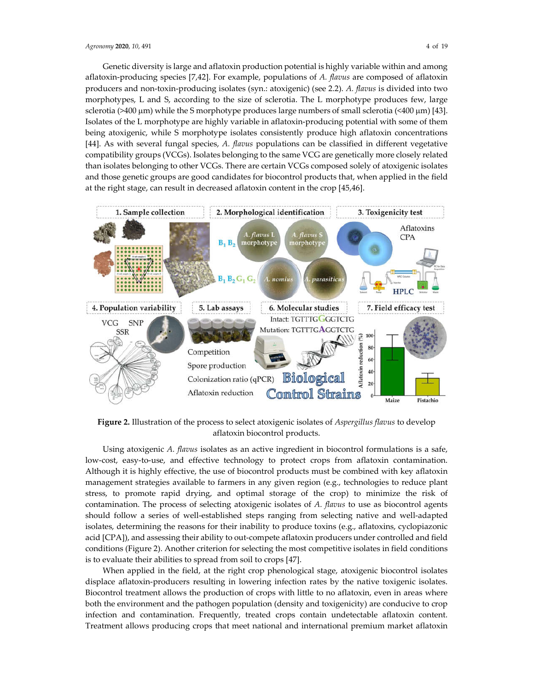Genetic diversity is large and aflatoxin production potential is highly variable within and among aflatoxin-producing species [7,42]. For example, populations of *A. flavus* are composed of aflatoxin producers and non-toxin-producing isolates (syn.: atoxigenic) (see 2.2). *A. flavus* is divided into two morphotypes, L and S, according to the size of sclerotia. The L morphotype produces few, large sclerotia ( $>400 \mu m$ ) while the S morphotype produces large numbers of small sclerotia ( $<$ 400  $\mu$ m) [43]. Isolates of the L morphotype are highly variable in aflatoxin-producing potential with some of them being atoxigenic, while S morphotype isolates consistently produce high aflatoxin concentrations [44]. As with several fungal species, *A. flavus* populations can be classified in different vegetative compatibility groups (VCGs). Isolates belonging to the same VCG are genetically more closely related than isolates belonging to other VCGs. There are certain VCGs composed solely of atoxigenic isolates and those genetic groups are good candidates for biocontrol products that, when applied in the field at the right stage, can result in decreased aflatoxin content in the crop [45,46].



**Figure 2.** Illustration of the process to select atoxigenic isolates of *Aspergillus flavus* to develop aflatoxin biocontrol products.

Using atoxigenic *A. flavus* isolates as an active ingredient in biocontrol formulations is a safe, low-cost, easy-to-use, and effective technology to protect crops from aflatoxin contamination. Although it is highly effective, the use of biocontrol products must be combined with key aflatoxin management strategies available to farmers in any given region (e.g., technologies to reduce plant stress, to promote rapid drying, and optimal storage of the crop) to minimize the risk of contamination. The process of selecting atoxigenic isolates of *A. flavus* to use as biocontrol agents should follow a series of well-established steps ranging from selecting native and well-adapted isolates, determining the reasons for their inability to produce toxins (e.g., aflatoxins, cyclopiazonic acid [CPA]), and assessing their ability to out-compete aflatoxin producers under controlled and field conditions (Figure 2). Another criterion for selecting the most competitive isolates in field conditions is to evaluate their abilities to spread from soil to crops [47].

When applied in the field, at the right crop phenological stage, atoxigenic biocontrol isolates displace aflatoxin-producers resulting in lowering infection rates by the native toxigenic isolates. Biocontrol treatment allows the production of crops with little to no aflatoxin, even in areas where both the environment and the pathogen population (density and toxigenicity) are conducive to crop infection and contamination. Frequently, treated crops contain undetectable aflatoxin content. Treatment allows producing crops that meet national and international premium market aflatoxin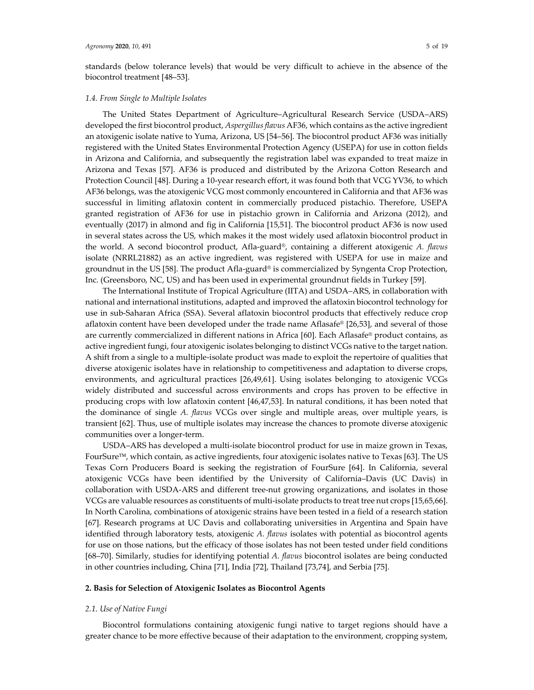standards (below tolerance levels) that would be very difficult to achieve in the absence of the biocontrol treatment [48–53].

#### *1.4. From Single to Multiple Isolates*

The United States Department of Agriculture–Agricultural Research Service (USDA–ARS) developed the first biocontrol product, *Aspergillus flavus* AF36, which contains as the active ingredient an atoxigenic isolate native to Yuma, Arizona, US [54–56]. The biocontrol product AF36 was initially registered with the United States Environmental Protection Agency (USEPA) for use in cotton fields in Arizona and California, and subsequently the registration label was expanded to treat maize in Arizona and Texas [57]. AF36 is produced and distributed by the Arizona Cotton Research and Protection Council [48]. During a 10-year research effort, it was found both that VCG YV36, to which AF36 belongs, was the atoxigenic VCG most commonly encountered in California and that AF36 was successful in limiting aflatoxin content in commercially produced pistachio. Therefore, USEPA granted registration of AF36 for use in pistachio grown in California and Arizona (2012), and eventually (2017) in almond and fig in California [15,51]. The biocontrol product AF36 is now used in several states across the US, which makes it the most widely used aflatoxin biocontrol product in the world. A second biocontrol product, Afla-guard®, containing a different atoxigenic *A. flavus* isolate (NRRL21882) as an active ingredient, was registered with USEPA for use in maize and groundnut in the US [58]. The product Afla-guard® is commercialized by Syngenta Crop Protection, Inc. (Greensboro, NC, US) and has been used in experimental groundnut fields in Turkey [59].

The International Institute of Tropical Agriculture (IITA) and USDA–ARS, in collaboration with national and international institutions, adapted and improved the aflatoxin biocontrol technology for use in sub-Saharan Africa (SSA). Several aflatoxin biocontrol products that effectively reduce crop aflatoxin content have been developed under the trade name Aflasafe® [26,53], and several of those are currently commercialized in different nations in Africa [60]. Each Aflasafe® product contains, as active ingredient fungi, four atoxigenic isolates belonging to distinct VCGs native to the target nation. A shift from a single to a multiple-isolate product was made to exploit the repertoire of qualities that diverse atoxigenic isolates have in relationship to competitiveness and adaptation to diverse crops, environments, and agricultural practices [26,49,61]. Using isolates belonging to atoxigenic VCGs widely distributed and successful across environments and crops has proven to be effective in producing crops with low aflatoxin content [46,47,53]. In natural conditions, it has been noted that the dominance of single *A. flavus* VCGs over single and multiple areas, over multiple years, is transient [62]. Thus, use of multiple isolates may increase the chances to promote diverse atoxigenic communities over a longer-term.

USDA–ARS has developed a multi-isolate biocontrol product for use in maize grown in Texas, FourSure<sup>™</sup>, which contain, as active ingredients, four atoxigenic isolates native to Texas [63]. The US Texas Corn Producers Board is seeking the registration of FourSure [64]. In California, several atoxigenic VCGs have been identified by the University of California–Davis (UC Davis) in collaboration with USDA-ARS and different tree-nut growing organizations, and isolates in those VCGs are valuable resources as constituents of multi-isolate products to treat tree nut crops [15,65,66]. In North Carolina, combinations of atoxigenic strains have been tested in a field of a research station [67]. Research programs at UC Davis and collaborating universities in Argentina and Spain have identified through laboratory tests, atoxigenic *A. flavus* isolates with potential as biocontrol agents for use on those nations, but the efficacy of those isolates has not been tested under field conditions [68–70]. Similarly, studies for identifying potential *A. flavus* biocontrol isolates are being conducted in other countries including, China [71], India [72], Thailand [73,74], and Serbia [75].

## **2. Basis for Selection of Atoxigenic Isolates as Biocontrol Agents**

## *2.1. Use of Native Fungi*

Biocontrol formulations containing atoxigenic fungi native to target regions should have a greater chance to be more effective because of their adaptation to the environment, cropping system,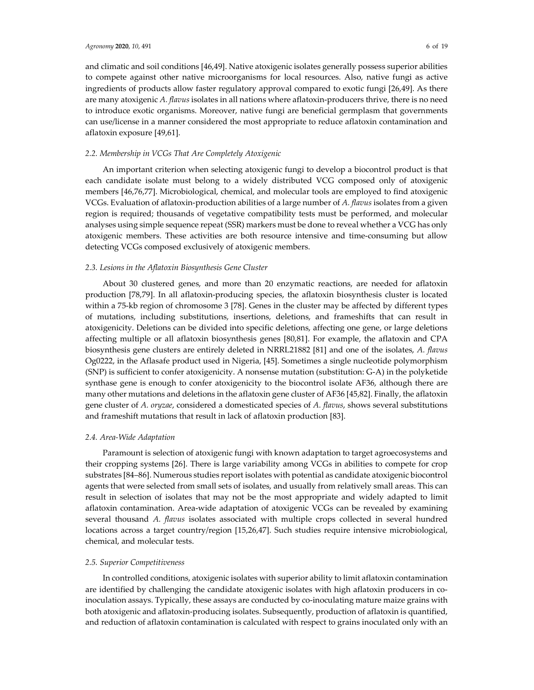and climatic and soil conditions [46,49]. Native atoxigenic isolates generally possess superior abilities to compete against other native microorganisms for local resources. Also, native fungi as active ingredients of products allow faster regulatory approval compared to exotic fungi [26,49]. As there are many atoxigenic *A. flavus* isolates in all nations where aflatoxin-producers thrive, there is no need to introduce exotic organisms. Moreover, native fungi are beneficial germplasm that governments can use/license in a manner considered the most appropriate to reduce aflatoxin contamination and aflatoxin exposure [49,61].

## *2.2. Membership in VCGs That Are Completely Atoxigenic*

An important criterion when selecting atoxigenic fungi to develop a biocontrol product is that each candidate isolate must belong to a widely distributed VCG composed only of atoxigenic members [46,76,77]. Microbiological, chemical, and molecular tools are employed to find atoxigenic VCGs. Evaluation of aflatoxin-production abilities of a large number of *A. flavus* isolates from a given region is required; thousands of vegetative compatibility tests must be performed, and molecular analyses using simple sequence repeat (SSR) markers must be done to reveal whether a VCG has only atoxigenic members. These activities are both resource intensive and time-consuming but allow detecting VCGs composed exclusively of atoxigenic members.

# *2.3. Lesions in the Aflatoxin Biosynthesis Gene Cluster*

About 30 clustered genes, and more than 20 enzymatic reactions, are needed for aflatoxin production [78,79]. In all aflatoxin-producing species, the aflatoxin biosynthesis cluster is located within a 75-kb region of chromosome 3 [78]. Genes in the cluster may be affected by different types of mutations, including substitutions, insertions, deletions, and frameshifts that can result in atoxigenicity. Deletions can be divided into specific deletions, affecting one gene, or large deletions affecting multiple or all aflatoxin biosynthesis genes [80,81]. For example, the aflatoxin and CPA biosynthesis gene clusters are entirely deleted in NRRL21882 [81] and one of the isolates, *A. flavus* Og0222, in the Aflasafe product used in Nigeria, [45]. Sometimes a single nucleotide polymorphism (SNP) is sufficient to confer atoxigenicity. A nonsense mutation (substitution: G-A) in the polyketide synthase gene is enough to confer atoxigenicity to the biocontrol isolate AF36, although there are many other mutations and deletions in the aflatoxin gene cluster of AF36 [45,82]. Finally, the aflatoxin gene cluster of *A. oryzae*, considered a domesticated species of *A. flavus*, shows several substitutions and frameshift mutations that result in lack of aflatoxin production [83].

#### *2.4. Area-Wide Adaptation*

Paramount is selection of atoxigenic fungi with known adaptation to target agroecosystems and their cropping systems [26]. There is large variability among VCGs in abilities to compete for crop substrates [84–86]. Numerous studies report isolates with potential as candidate atoxigenic biocontrol agents that were selected from small sets of isolates, and usually from relatively small areas. This can result in selection of isolates that may not be the most appropriate and widely adapted to limit aflatoxin contamination. Area-wide adaptation of atoxigenic VCGs can be revealed by examining several thousand *A. flavus* isolates associated with multiple crops collected in several hundred locations across a target country/region [15,26,47]. Such studies require intensive microbiological, chemical, and molecular tests.

## *2.5. Superior Competitiveness*

In controlled conditions, atoxigenic isolates with superior ability to limit aflatoxin contamination are identified by challenging the candidate atoxigenic isolates with high aflatoxin producers in coinoculation assays. Typically, these assays are conducted by co-inoculating mature maize grains with both atoxigenic and aflatoxin-producing isolates. Subsequently, production of aflatoxin is quantified, and reduction of aflatoxin contamination is calculated with respect to grains inoculated only with an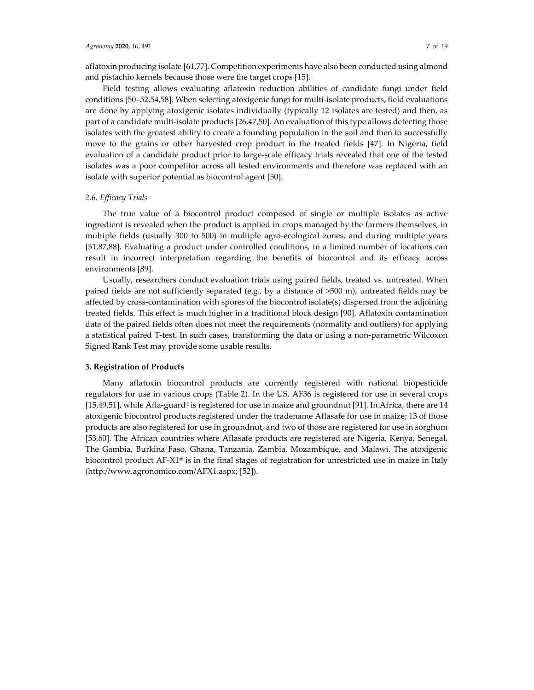aflatoxin producing isolate [61,77]. Competition experiments have also been conducted using almond and pistachio kernels because those were the target crops [15].

Field testing allows evaluating aflatoxin reduction abilities of candidate fungi under field conditions [50–52,54,58]. When selecting atoxigenic fungi for multi-isolate products, field evaluations are done by applying atoxigenic isolates individually (typically 12 isolates are tested) and then, as part of a candidate multi-isolate products [26,47,50]. An evaluation of this type allows detecting those isolates with the greatest ability to create a founding population in the soil and then to successfully move to the grains or other harvested crop product in the treated fields [47]. In Nigeria, field evaluation of a candidate product prior to large-scale efficacy trials revealed that one of the tested isolates was a poor competitor across all tested environments and therefore was replaced with an isolate with superior potential as biocontrol agent [50].

#### *2.6. Efficacy Trials*

The true value of a biocontrol product composed of single or multiple isolates as active ingredient is revealed when the product is applied in crops managed by the farmers themselves, in multiple fields (usually 300 to 500) in multiple agro-ecological zones, and during multiple years [51,87,88]. Evaluating a product under controlled conditions, in a limited number of locations can result in incorrect interpretation regarding the benefits of biocontrol and its efficacy across environments [89].

Usually, researchers conduct evaluation trials using paired fields, treated vs. untreated. When paired fields are not sufficiently separated (e.g., by a distance of >500 m), untreated fields may be affected by cross-contamination with spores of the biocontrol isolate(s) dispersed from the adjoining treated fields. This effect is much higher in a traditional block design [90]. Aflatoxin contamination data of the paired fields often does not meet the requirements (normality and outliers) for applying a statistical paired T-test. In such cases, transforming the data or using a non-parametric Wilcoxon Signed Rank Test may provide some usable results.

## **3. Registration of Products**

Many aflatoxin biocontrol products are currently registered with national biopesticide regulators for use in various crops (Table 2). In the US, AF36 is registered for use in several crops [15,49,51], while Afla-guard® is registered for use in maize and groundnut [91]. In Africa, there are 14 atoxigenic biocontrol products registered under the tradename Aflasafe for use in maize; 13 of those products are also registered for use in groundnut, and two of those are registered for use in sorghum [53,60]. The African countries where Aflasafe products are registered are Nigeria, Kenya, Senegal, The Gambia, Burkina Faso, Ghana, Tanzania, Zambia, Mozambique, and Malawi. The atoxigenic biocontrol product AF-X1® is in the final stages of registration for unrestricted use in maize in Italy (http://www.agronomico.com/AFX1.aspx; [52]).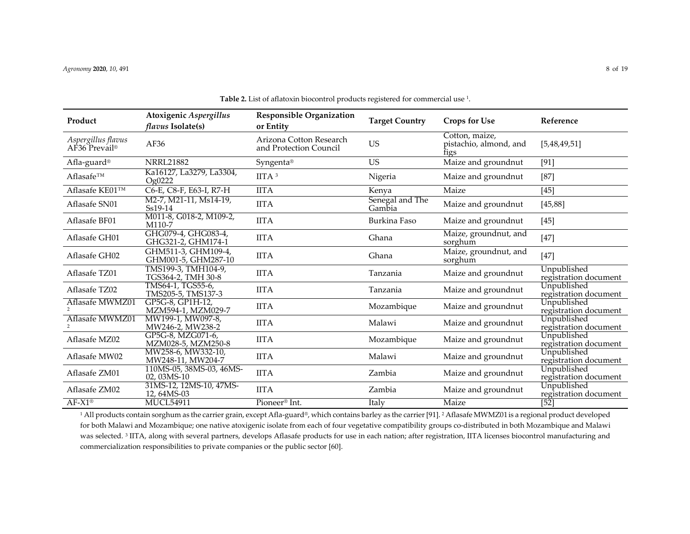| Product                                           | Atoxigenic Aspergillus<br><i>flavus</i> Isolate(s) | <b>Responsible Organization</b><br>or Entity      | <b>Target Country</b>     | <b>Crops for Use</b>                             | Reference                            |
|---------------------------------------------------|----------------------------------------------------|---------------------------------------------------|---------------------------|--------------------------------------------------|--------------------------------------|
| Aspergillus flavus<br>$AF36$ Prevail <sup>®</sup> | AF36                                               | Arizona Cotton Research<br>and Protection Council | <b>US</b>                 | Cotton, maize,<br>pistachio, almond, and<br>figs | [5,48,49,51]                         |
| Afla-guard <sup>®</sup>                           | <b>NRRL21882</b>                                   | Syngenta®                                         | <b>US</b>                 | Maize and groundnut                              | [91]                                 |
| $Aflasafe^{TM}$                                   | Ka16127, La3279, La3304,<br>Og0222                 | IITA <sup>3</sup>                                 | Nigeria                   | Maize and groundnut                              | [87]                                 |
| Aflasafe KE01™                                    | C6-E, C8-F, E63-I, R7-H                            | <b>IITA</b>                                       | Kenya                     | Maize                                            | [45]                                 |
| Aflasafe SN01                                     | M2-7, M21-11, Ms14-19,<br>Ss19-14                  | <b>IITA</b>                                       | Senegal and The<br>Gambia | Maize and groundnut                              | [45, 88]                             |
| Aflasafe BF01                                     | M011-8, G018-2, M109-2,<br>M110-7                  | <b>IITA</b>                                       | Burkina Faso              | Maize and groundnut                              | $[45]$                               |
| Aflasafe GH01                                     | GHG079-4, GHG083-4,<br>GHG321-2, GHM174-1          | <b>IITA</b>                                       | Ghana                     | Maize, groundnut, and<br>sorghum                 | $[47]$                               |
| Aflasafe GH02                                     | GHM511-3, GHM109-4,<br>GHM001-5, GHM287-10         | <b>IITA</b>                                       | Ghana                     | Maize, groundnut, and<br>sorghum                 | $[47]$                               |
| Aflasafe TZ01                                     | TMS199-3, TMH104-9,<br>TGS364-2, TMH 30-8          | <b>IITA</b>                                       | Tanzania                  | Maize and groundnut                              | Unpublished<br>registration document |
| Aflasafe TZ02                                     | TMS64-1, TGS55-6,<br>TMS205-5, TMS137-3            | <b>IITA</b>                                       | Tanzania                  | Maize and groundnut                              | Unpublished<br>registration document |
| Aflasafe MWMZ01                                   | GP5G-8, GP1H-12,<br>MZM594-1, MZM029-7             | <b>IITA</b>                                       | Mozambique                | Maize and groundnut                              | Unpublished<br>registration document |
| Aflasafe MWMZ01<br>$\overline{2}$                 | MW199-1, MW097-8,<br>MW246-2, MW238-2              | <b>IITA</b>                                       | Malawi                    | Maize and groundnut                              | Unpublished<br>registration document |
| Aflasafe MZ02                                     | GP5G-8, MZG071-6,<br>MZM028-5, MZM250-8            | <b>IITA</b>                                       | Mozambique                | Maize and groundnut                              | Unpublished<br>registration document |
| Aflasafe MW02                                     | MW258-6, MW332-10,<br>MW248-11, MW204-7            | <b>IITA</b>                                       | Malawi                    | Maize and groundnut                              | Unpublished<br>registration document |
| Aflasafe ZM01                                     | 110MS-05, 38MS-03, 46MS-<br>02.03MS-10             | <b>IITA</b>                                       | Zambia                    | Maize and groundnut                              | Unpublished<br>registration document |
| Aflasafe ZM02                                     | 31MS-12, 12MS-10, 47MS-<br>12, 64MS-03             | <b>IITA</b>                                       | Zambia                    | Maize and groundnut                              | Unpublished<br>registration document |
| $AF-X1$ <sup>®</sup>                              | <b>MUCL54911</b>                                   | Pioneer <sup>®</sup> Int.                         | Italy                     | Maize                                            | $[52]$                               |

**Table 2.** List of aflatoxin biocontrol products registered for commercial use 1.

<sup>1</sup> All products contain sorghum as the carrier grain, except Afla-guard®, which contains barley as the carrier [91]. <sup>2</sup> Aflasafe MWMZ01 is a regional product developed for both Malawi and Mozambique; one native atoxigenic isolate from each of four vegetative compatibility groups co-distributed in both Mozambique and Malawi was selected.<sup>3</sup> IITA, along with several partners, develops Aflasafe products for use in each nation; after registration, IITA licenses biocontrol manufacturing and commercialization responsibilities to private companies or the public sector [60].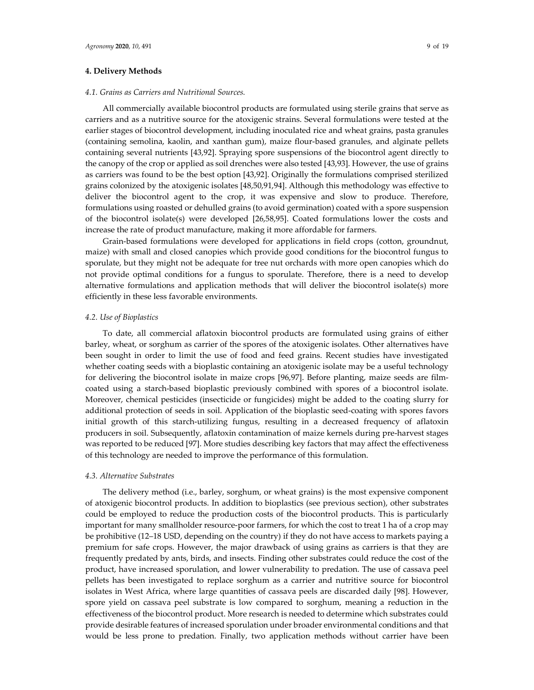## *4.1. Grains as Carriers and Nutritional Sources.*

All commercially available biocontrol products are formulated using sterile grains that serve as carriers and as a nutritive source for the atoxigenic strains. Several formulations were tested at the earlier stages of biocontrol development, including inoculated rice and wheat grains, pasta granules (containing semolina, kaolin, and xanthan gum), maize flour-based granules, and alginate pellets containing several nutrients [43,92]. Spraying spore suspensions of the biocontrol agent directly to the canopy of the crop or applied as soil drenches were also tested [43,93]. However, the use of grains as carriers was found to be the best option [43,92]. Originally the formulations comprised sterilized grains colonized by the atoxigenic isolates [48,50,91,94]. Although this methodology was effective to deliver the biocontrol agent to the crop, it was expensive and slow to produce. Therefore, formulations using roasted or dehulled grains (to avoid germination) coated with a spore suspension of the biocontrol isolate(s) were developed [26,58,95]. Coated formulations lower the costs and increase the rate of product manufacture, making it more affordable for farmers.

Grain-based formulations were developed for applications in field crops (cotton, groundnut, maize) with small and closed canopies which provide good conditions for the biocontrol fungus to sporulate, but they might not be adequate for tree nut orchards with more open canopies which do not provide optimal conditions for a fungus to sporulate. Therefore, there is a need to develop alternative formulations and application methods that will deliver the biocontrol isolate(s) more efficiently in these less favorable environments.

## *4.2. Use of Bioplastics*

To date, all commercial aflatoxin biocontrol products are formulated using grains of either barley, wheat, or sorghum as carrier of the spores of the atoxigenic isolates. Other alternatives have been sought in order to limit the use of food and feed grains. Recent studies have investigated whether coating seeds with a bioplastic containing an atoxigenic isolate may be a useful technology for delivering the biocontrol isolate in maize crops [96,97]. Before planting, maize seeds are filmcoated using a starch-based bioplastic previously combined with spores of a biocontrol isolate. Moreover, chemical pesticides (insecticide or fungicides) might be added to the coating slurry for additional protection of seeds in soil. Application of the bioplastic seed-coating with spores favors initial growth of this starch-utilizing fungus, resulting in a decreased frequency of aflatoxin producers in soil. Subsequently, aflatoxin contamination of maize kernels during pre-harvest stages was reported to be reduced [97]. More studies describing key factors that may affect the effectiveness of this technology are needed to improve the performance of this formulation.

## *4.3. Alternative Substrates*

The delivery method (i.e., barley, sorghum, or wheat grains) is the most expensive component of atoxigenic biocontrol products. In addition to bioplastics (see previous section), other substrates could be employed to reduce the production costs of the biocontrol products. This is particularly important for many smallholder resource-poor farmers, for which the cost to treat 1 ha of a crop may be prohibitive (12–18 USD, depending on the country) if they do not have access to markets paying a premium for safe crops. However, the major drawback of using grains as carriers is that they are frequently predated by ants, birds, and insects. Finding other substrates could reduce the cost of the product, have increased sporulation, and lower vulnerability to predation. The use of cassava peel pellets has been investigated to replace sorghum as a carrier and nutritive source for biocontrol isolates in West Africa, where large quantities of cassava peels are discarded daily [98]. However, spore yield on cassava peel substrate is low compared to sorghum, meaning a reduction in the effectiveness of the biocontrol product. More research is needed to determine which substrates could provide desirable features of increased sporulation under broader environmental conditions and that would be less prone to predation. Finally, two application methods without carrier have been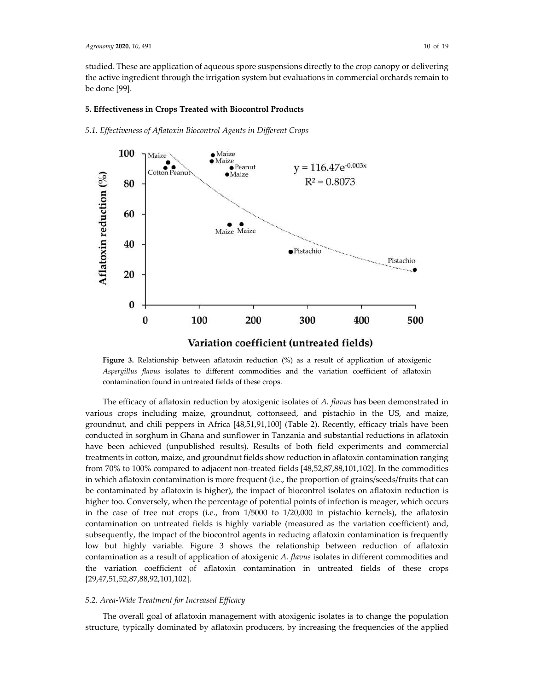studied. These are application of aqueous spore suspensions directly to the crop canopy or delivering the active ingredient through the irrigation system but evaluations in commercial orchards remain to be done [99].

## **5. Effectiveness in Crops Treated with Biocontrol Products**



*5.1. Effectiveness of Aflatoxin Biocontrol Agents in Different Crops*

**Figure 3.** Relationship between aflatoxin reduction (%) as a result of application of atoxigenic *Aspergillus flavus* isolates to different commodities and the variation coefficient of aflatoxin contamination found in untreated fields of these crops.

The efficacy of aflatoxin reduction by atoxigenic isolates of *A. flavus* has been demonstrated in various crops including maize, groundnut, cottonseed, and pistachio in the US, and maize, groundnut, and chili peppers in Africa [48,51,91,100] (Table 2). Recently, efficacy trials have been conducted in sorghum in Ghana and sunflower in Tanzania and substantial reductions in aflatoxin have been achieved (unpublished results). Results of both field experiments and commercial treatments in cotton, maize, and groundnut fields show reduction in aflatoxin contamination ranging from 70% to 100% compared to adjacent non-treated fields [48,52,87,88,101,102]. In the commodities in which aflatoxin contamination is more frequent (i.e., the proportion of grains/seeds/fruits that can be contaminated by aflatoxin is higher), the impact of biocontrol isolates on aflatoxin reduction is higher too. Conversely, when the percentage of potential points of infection is meager, which occurs in the case of tree nut crops (i.e., from 1/5000 to 1/20,000 in pistachio kernels), the aflatoxin contamination on untreated fields is highly variable (measured as the variation coefficient) and, subsequently, the impact of the biocontrol agents in reducing aflatoxin contamination is frequently low but highly variable. Figure 3 shows the relationship between reduction of aflatoxin contamination as a result of application of atoxigenic *A. flavus* isolates in different commodities and the variation coefficient of aflatoxin contamination in untreated fields of these crops [29,47,51,52,87,88,92,101,102].

# *5.2. Area-Wide Treatment for Increased Efficacy*

The overall goal of aflatoxin management with atoxigenic isolates is to change the population structure, typically dominated by aflatoxin producers, by increasing the frequencies of the applied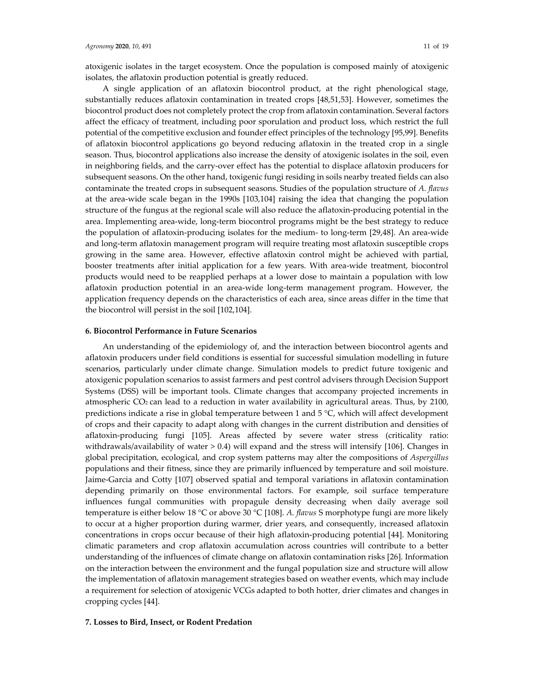atoxigenic isolates in the target ecosystem. Once the population is composed mainly of atoxigenic isolates, the aflatoxin production potential is greatly reduced.

A single application of an aflatoxin biocontrol product, at the right phenological stage, substantially reduces aflatoxin contamination in treated crops [48,51,53]. However, sometimes the biocontrol product does not completely protect the crop from aflatoxin contamination. Several factors affect the efficacy of treatment, including poor sporulation and product loss, which restrict the full potential of the competitive exclusion and founder effect principles of the technology [95,99]. Benefits of aflatoxin biocontrol applications go beyond reducing aflatoxin in the treated crop in a single season. Thus, biocontrol applications also increase the density of atoxigenic isolates in the soil, even in neighboring fields, and the carry-over effect has the potential to displace aflatoxin producers for subsequent seasons. On the other hand, toxigenic fungi residing in soils nearby treated fields can also contaminate the treated crops in subsequent seasons. Studies of the population structure of *A. flavus* at the area-wide scale began in the 1990s [103,104] raising the idea that changing the population structure of the fungus at the regional scale will also reduce the aflatoxin-producing potential in the area. Implementing area-wide, long-term biocontrol programs might be the best strategy to reduce the population of aflatoxin-producing isolates for the medium- to long-term [29,48]. An area-wide and long-term aflatoxin management program will require treating most aflatoxin susceptible crops growing in the same area. However, effective aflatoxin control might be achieved with partial, booster treatments after initial application for a few years. With area-wide treatment, biocontrol products would need to be reapplied perhaps at a lower dose to maintain a population with low aflatoxin production potential in an area-wide long-term management program. However, the application frequency depends on the characteristics of each area, since areas differ in the time that the biocontrol will persist in the soil [102,104].

#### **6. Biocontrol Performance in Future Scenarios**

An understanding of the epidemiology of, and the interaction between biocontrol agents and aflatoxin producers under field conditions is essential for successful simulation modelling in future scenarios, particularly under climate change. Simulation models to predict future toxigenic and atoxigenic population scenarios to assist farmers and pest control advisers through Decision Support Systems (DSS) will be important tools. Climate changes that accompany projected increments in atmospheric CO<sub>2</sub> can lead to a reduction in water availability in agricultural areas. Thus, by 2100, predictions indicate a rise in global temperature between 1 and 5 °C, which will affect development of crops and their capacity to adapt along with changes in the current distribution and densities of aflatoxin-producing fungi [105]. Areas affected by severe water stress (criticality ratio: withdrawals/availability of water  $> 0.4$ ) will expand and the stress will intensify [106]. Changes in global precipitation, ecological, and crop system patterns may alter the compositions of *Aspergillus*  populations and their fitness, since they are primarily influenced by temperature and soil moisture. Jaime-Garcia and Cotty [107] observed spatial and temporal variations in aflatoxin contamination depending primarily on those environmental factors. For example, soil surface temperature influences fungal communities with propagule density decreasing when daily average soil temperature is either below 18 °C or above 30 °C [108]. *A. flavus* S morphotype fungi are more likely to occur at a higher proportion during warmer, drier years, and consequently, increased aflatoxin concentrations in crops occur because of their high aflatoxin-producing potential [44]. Monitoring climatic parameters and crop aflatoxin accumulation across countries will contribute to a better understanding of the influences of climate change on aflatoxin contamination risks [26]. Information on the interaction between the environment and the fungal population size and structure will allow the implementation of aflatoxin management strategies based on weather events, which may include a requirement for selection of atoxigenic VCGs adapted to both hotter, drier climates and changes in cropping cycles [44].

## **7. Losses to Bird, Insect, or Rodent Predation**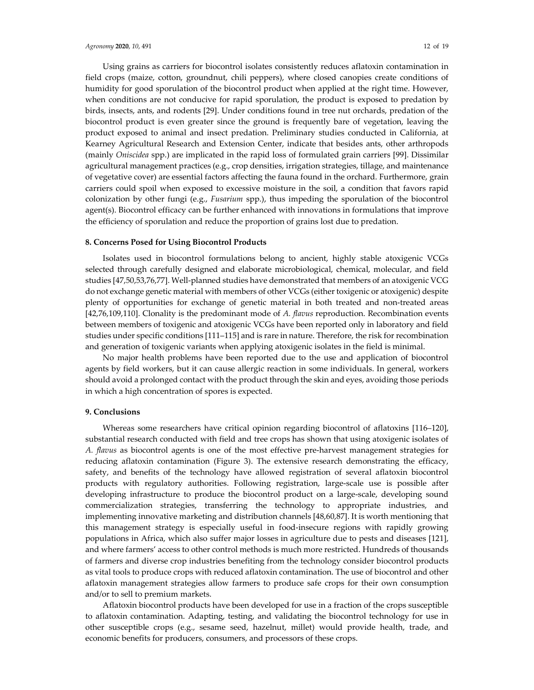Using grains as carriers for biocontrol isolates consistently reduces aflatoxin contamination in field crops (maize, cotton, groundnut, chili peppers), where closed canopies create conditions of humidity for good sporulation of the biocontrol product when applied at the right time. However, when conditions are not conducive for rapid sporulation, the product is exposed to predation by birds, insects, ants, and rodents [29]. Under conditions found in tree nut orchards, predation of the biocontrol product is even greater since the ground is frequently bare of vegetation, leaving the product exposed to animal and insect predation. Preliminary studies conducted in California, at Kearney Agricultural Research and Extension Center, indicate that besides ants, other arthropods (mainly *Oniscidea* spp.) are implicated in the rapid loss of formulated grain carriers [99]. Dissimilar agricultural management practices (e.g., crop densities, irrigation strategies, tillage, and maintenance of vegetative cover) are essential factors affecting the fauna found in the orchard. Furthermore, grain carriers could spoil when exposed to excessive moisture in the soil, a condition that favors rapid colonization by other fungi (e.g., *Fusarium* spp.), thus impeding the sporulation of the biocontrol agent(s). Biocontrol efficacy can be further enhanced with innovations in formulations that improve the efficiency of sporulation and reduce the proportion of grains lost due to predation.

## **8. Concerns Posed for Using Biocontrol Products**

Isolates used in biocontrol formulations belong to ancient, highly stable atoxigenic VCGs selected through carefully designed and elaborate microbiological, chemical, molecular, and field studies [47,50,53,76,77]. Well-planned studies have demonstrated that members of an atoxigenic VCG do not exchange genetic material with members of other VCGs (either toxigenic or atoxigenic) despite plenty of opportunities for exchange of genetic material in both treated and non-treated areas [42,76,109,110]. Clonality is the predominant mode of *A. flavus* reproduction. Recombination events between members of toxigenic and atoxigenic VCGs have been reported only in laboratory and field studies under specific conditions [111–115] and is rare in nature. Therefore, the risk for recombination and generation of toxigenic variants when applying atoxigenic isolates in the field is minimal.

No major health problems have been reported due to the use and application of biocontrol agents by field workers, but it can cause allergic reaction in some individuals. In general, workers should avoid a prolonged contact with the product through the skin and eyes, avoiding those periods in which a high concentration of spores is expected.

# **9. Conclusions**

Whereas some researchers have critical opinion regarding biocontrol of aflatoxins [116–120], substantial research conducted with field and tree crops has shown that using atoxigenic isolates of *A. flavus* as biocontrol agents is one of the most effective pre-harvest management strategies for reducing aflatoxin contamination (Figure 3). The extensive research demonstrating the efficacy, safety, and benefits of the technology have allowed registration of several aflatoxin biocontrol products with regulatory authorities. Following registration, large-scale use is possible after developing infrastructure to produce the biocontrol product on a large-scale, developing sound commercialization strategies, transferring the technology to appropriate industries, and implementing innovative marketing and distribution channels [48,60,87]. It is worth mentioning that this management strategy is especially useful in food-insecure regions with rapidly growing populations in Africa, which also suffer major losses in agriculture due to pests and diseases [121], and where farmers' access to other control methods is much more restricted. Hundreds of thousands of farmers and diverse crop industries benefiting from the technology consider biocontrol products as vital tools to produce crops with reduced aflatoxin contamination. The use of biocontrol and other aflatoxin management strategies allow farmers to produce safe crops for their own consumption and/or to sell to premium markets.

Aflatoxin biocontrol products have been developed for use in a fraction of the crops susceptible to aflatoxin contamination. Adapting, testing, and validating the biocontrol technology for use in other susceptible crops (e.g., sesame seed, hazelnut, millet) would provide health, trade, and economic benefits for producers, consumers, and processors of these crops.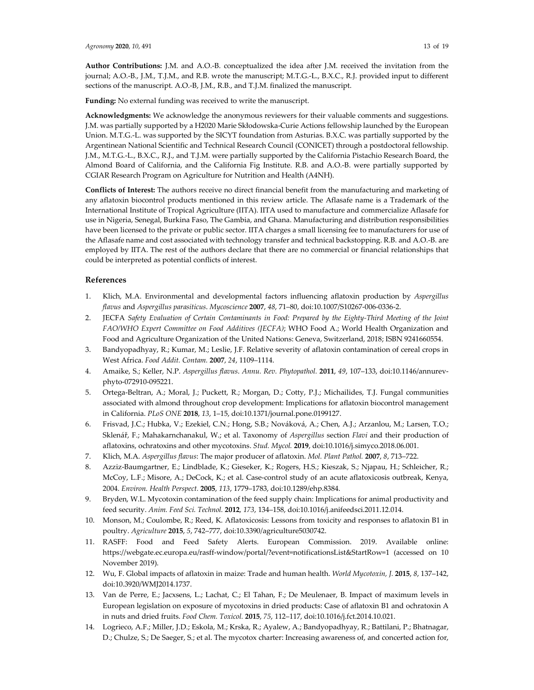**Author Contributions:** J.M. and A.O.-B. conceptualized the idea after J.M. received the invitation from the journal; A.O.-B., J.M., T.J.M., and R.B. wrote the manuscript; M.T.G.-L., B.X.C., R.J. provided input to different sections of the manuscript. A.O.-B, J.M., R.B., and T.J.M. finalized the manuscript.

**Funding:** No external funding was received to write the manuscript.

**Acknowledgments:** We acknowledge the anonymous reviewers for their valuable comments and suggestions. J.M. was partially supported by a H2020 Marie Skłodowska-Curie Actions fellowship launched by the European Union. M.T.G.-L. was supported by the SICYT foundation from Asturias. B.X.C. was partially supported by the Argentinean National Scientific and Technical Research Council (CONICET) through a postdoctoral fellowship. J.M., M.T.G.-L., B.X.C., R.J., and T.J.M. were partially supported by the California Pistachio Research Board, the Almond Board of California, and the California Fig Institute. R.B. and A.O.-B. were partially supported by CGIAR Research Program on Agriculture for Nutrition and Health (A4NH).

**Conflicts of Interest:** The authors receive no direct financial benefit from the manufacturing and marketing of any aflatoxin biocontrol products mentioned in this review article. The Aflasafe name is a Trademark of the International Institute of Tropical Agriculture (IITA). IITA used to manufacture and commercialize Aflasafe for use in Nigeria, Senegal, Burkina Faso, The Gambia, and Ghana. Manufacturing and distribution responsibilities have been licensed to the private or public sector. IITA charges a small licensing fee to manufacturers for use of the Aflasafe name and cost associated with technology transfer and technical backstopping. R.B. and A.O.-B. are employed by IITA. The rest of the authors declare that there are no commercial or financial relationships that could be interpreted as potential conflicts of interest.

## **References**

- 1. Klich, M.A. Environmental and developmental factors influencing aflatoxin production by *Aspergillus flavus* and *Aspergillus parasiticus*. *Mycoscience* **2007**, *48*, 71–80, doi:10.1007/S10267-006-0336-2.
- 2. JECFA *Safety Evaluation of Certain Contaminants in Food: Prepared by the Eighty-Third Meeting of the Joint FAO/WHO Expert Committee on Food Additives (JECFA)*; WHO Food A.; World Health Organization and Food and Agriculture Organization of the United Nations: Geneva, Switzerland, 2018; ISBN 9241660554.
- 3. Bandyopadhyay, R.; Kumar, M.; Leslie, J.F. Relative severity of aflatoxin contamination of cereal crops in West Africa. *Food Addit. Contam.* **2007**, *24*, 1109–1114.
- 4. Amaike, S.; Keller, N.P. *Aspergillus flavus*. *Annu. Rev. Phytopathol.* **2011**, *49*, 107–133, doi:10.1146/annurevphyto-072910-095221.
- 5. Ortega-Beltran, A.; Moral, J.; Puckett, R.; Morgan, D.; Cotty, P.J.; Michailides, T.J. Fungal communities associated with almond throughout crop development: Implications for aflatoxin biocontrol management in California. *PLoS ONE* **2018**, *13*, 1–15, doi:10.1371/journal.pone.0199127.
- 6. Frisvad, J.C.; Hubka, V.; Ezekiel, C.N.; Hong, S.B.; Nováková, A.; Chen, A.J.; Arzanlou, M.; Larsen, T.O.; Sklenář, F.; Mahakarnchanakul, W.; et al. Taxonomy of *Aspergillus* section *Flavi* and their production of aflatoxins, ochratoxins and other mycotoxins. *Stud. Mycol.* **2019**, doi:10.1016/j.simyco.2018.06.001.
- 7. Klich, M.A. *Aspergillus flavus*: The major producer of aflatoxin. *Mol. Plant Pathol.* **2007**, *8*, 713–722.
- 8. Azziz-Baumgartner, E.; Lindblade, K.; Gieseker, K.; Rogers, H.S.; Kieszak, S.; Njapau, H.; Schleicher, R.; McCoy, L.F.; Misore, A.; DeCock, K.; et al. Case-control study of an acute aflatoxicosis outbreak, Kenya, 2004. *Environ. Health Perspect.* **2005**, *113*, 1779–1783, doi:10.1289/ehp.8384.
- 9. Bryden, W.L. Mycotoxin contamination of the feed supply chain: Implications for animal productivity and feed security. *Anim. Feed Sci. Technol.* **2012**, *173*, 134–158, doi:10.1016/j.anifeedsci.2011.12.014.
- 10. Monson, M.; Coulombe, R.; Reed, K. Aflatoxicosis: Lessons from toxicity and responses to aflatoxin B1 in poultry. *Agriculture* **2015**, *5*, 742–777, doi:10.3390/agriculture5030742.
- 11. RASFF: Food and Feed Safety Alerts. European Commission. 2019. Available online: https://webgate.ec.europa.eu/rasff-window/portal/?event=notificationsList&StartRow=1 (accessed on 10 November 2019).
- 12. Wu, F. Global impacts of aflatoxin in maize: Trade and human health. *World Mycotoxin, J.* **2015**, *8*, 137–142, doi:10.3920/WMJ2014.1737.
- 13. Van de Perre, E.; Jacxsens, L.; Lachat, C.; El Tahan, F.; De Meulenaer, B. Impact of maximum levels in European legislation on exposure of mycotoxins in dried products: Case of aflatoxin B1 and ochratoxin A in nuts and dried fruits. *Food Chem. Toxicol.* **2015**, *75*, 112–117, doi:10.1016/j.fct.2014.10.021.
- 14. Logrieco, A.F.; Miller, J.D.; Eskola, M.; Krska, R.; Ayalew, A.; Bandyopadhyay, R.; Battilani, P.; Bhatnagar, D.; Chulze, S.; De Saeger, S.; et al. The mycotox charter: Increasing awareness of, and concerted action for,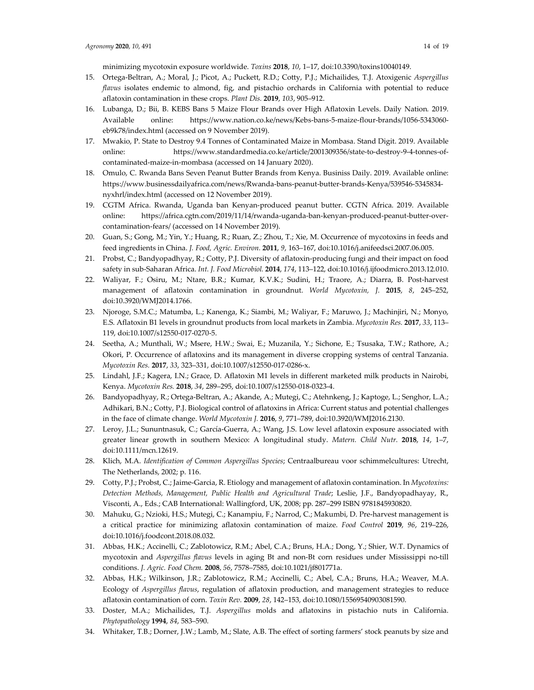minimizing mycotoxin exposure worldwide. *Toxins* **2018**, *10*, 1–17, doi:10.3390/toxins10040149.

- 15. Ortega-Beltran, A.; Moral, J.; Picot, A.; Puckett, R.D.; Cotty, P.J.; Michailides, T.J. Atoxigenic *Aspergillus flavus* isolates endemic to almond, fig, and pistachio orchards in California with potential to reduce aflatoxin contamination in these crops. *Plant Dis.* **2019**, *103*, 905–912.
- 16. Lubanga, D.; Bii, B. KEBS Bans 5 Maize Flour Brands over High Aflatoxin Levels. Daily Nation*.* 2019. Available online: https://www.nation.co.ke/news/Kebs-bans-5-maize-flour-brands/1056-5343060 eb9k78/index.html (accessed on 9 November 2019).
- 17. Mwakio, P. State to Destroy 9.4 Tonnes of Contaminated Maize in Mombasa. Stand Digit. 2019. Available online: https://www.standardmedia.co.ke/article/2001309356/state-to-destroy-9-4-tonnes-ofcontaminated-maize-in-mombasa (accessed on 14 January 2020).
- 18. Omulo, C. Rwanda Bans Seven Peanut Butter Brands from Kenya. Businiss Daily. 2019. Available online: https://www.businessdailyafrica.com/news/Rwanda-bans-peanut-butter-brands-Kenya/539546-5345834 nyxhrl/index.html (accessed on 12 November 2019).
- 19. CGTM Africa. Rwanda, Uganda ban Kenyan-produced peanut butter. CGTN Africa. 2019. Available online: https://africa.cgtn.com/2019/11/14/rwanda-uganda-ban-kenyan-produced-peanut-butter-overcontamination-fears/ (accessed on 14 November 2019).
- 20. Guan, S.; Gong, M.; Yin, Y.; Huang, R.; Ruan, Z.; Zhou, T.; Xie, M. Occurrence of mycotoxins in feeds and feed ingredients in China. *J. Food, Agric. Environ.* **2011**, *9*, 163–167, doi:10.1016/j.anifeedsci.2007.06.005.
- 21. Probst, C.; Bandyopadhyay, R.; Cotty, P.J. Diversity of aflatoxin-producing fungi and their impact on food safety in sub-Saharan Africa. *Int. J. Food Microbiol.* **2014**, *174*, 113–122, doi:10.1016/j.ijfoodmicro.2013.12.010.
- 22. Waliyar, F.; Osiru, M.; Ntare, B.R.; Kumar, K.V.K.; Sudini, H.; Traore, A.; Diarra, B. Post-harvest management of aflatoxin contamination in groundnut. *World Mycotoxin, J.* **2015**, *8*, 245–252, doi:10.3920/WMJ2014.1766.
- 23. Njoroge, S.M.C.; Matumba, L.; Kanenga, K.; Siambi, M.; Waliyar, F.; Maruwo, J.; Machinjiri, N.; Monyo, E.S. Aflatoxin B1 levels in groundnut products from local markets in Zambia. *Mycotoxin Res.* **2017**, *33*, 113– 119, doi:10.1007/s12550-017-0270-5.
- 24. Seetha, A.; Munthali, W.; Msere, H.W.; Swai, E.; Muzanila, Y.; Sichone, E.; Tsusaka, T.W.; Rathore, A.; Okori, P. Occurrence of aflatoxins and its management in diverse cropping systems of central Tanzania. *Mycotoxin Res.* **2017**, *33*, 323–331, doi:10.1007/s12550-017-0286-x.
- 25. Lindahl, J.F.; Kagera, I.N.; Grace, D. Aflatoxin M1 levels in different marketed milk products in Nairobi, Kenya. *Mycotoxin Res.* **2018**, *34*, 289–295, doi:10.1007/s12550-018-0323-4.
- 26. Bandyopadhyay, R.; Ortega-Beltran, A.; Akande, A.; Mutegi, C.; Atehnkeng, J.; Kaptoge, L.; Senghor, L.A.; Adhikari, B.N.; Cotty, P.J. Biological control of aflatoxins in Africa: Current status and potential challenges in the face of climate change. *World Mycotoxin J.* **2016**, *9*, 771–789, doi:10.3920/WMJ2016.2130.
- 27. Leroy, J.L.; Sununtnasuk, C.; García-Guerra, A.; Wang, J.S. Low level aflatoxin exposure associated with greater linear growth in southern Mexico: A longitudinal study. *Matern. Child Nutr.* **2018**, *14*, 1–7, doi:10.1111/mcn.12619.
- 28. Klich, M.A. *Identification of Common Aspergillus Species*; Centraalbureau voor schimmelcultures: Utrecht, The Netherlands, 2002; p. 116.
- 29. Cotty, P.J.; Probst, C.; Jaime-Garcia, R. Etiology and management of aflatoxin contamination. In *Mycotoxins: Detection Methods, Management, Public Health and Agricultural Trade*; Leslie, J.F., Bandyopadhayay, R., Visconti, A., Eds.; CAB International: Wallingford, UK, 2008; pp. 287–299 ISBN 9781845930820.
- 30. Mahuku, G.; Nzioki, H.S.; Mutegi, C.; Kanampiu, F.; Narrod, C.; Makumbi, D. Pre-harvest management is a critical practice for minimizing aflatoxin contamination of maize. *Food Control* **2019**, *96*, 219–226, doi:10.1016/j.foodcont.2018.08.032.
- 31. Abbas, H.K.; Accinelli, C.; Zablotowicz, R.M.; Abel, C.A.; Bruns, H.A.; Dong, Y.; Shier, W.T. Dynamics of mycotoxin and *Aspergillus flavus* levels in aging Bt and non-Bt corn residues under Mississippi no-till conditions. *J. Agric. Food Chem.* **2008**, *56*, 7578–7585, doi:10.1021/jf801771a.
- 32. Abbas, H.K.; Wilkinson, J.R.; Zablotowicz, R.M.; Accinelli, C.; Abel, C.A.; Bruns, H.A.; Weaver, M.A. Ecology of *Aspergillus flavus*, regulation of aflatoxin production, and management strategies to reduce aflatoxin contamination of corn. *Toxin Rev.* **2009**, *28*, 142–153, doi:10.1080/15569540903081590.
- 33. Doster, M.A.; Michailides, T.J. *Aspergillus* molds and aflatoxins in pistachio nuts in California. *Phytopathology* **1994**, *84*, 583–590.
- 34. Whitaker, T.B.; Dorner, J.W.; Lamb, M.; Slate, A.B. The effect of sorting farmers' stock peanuts by size and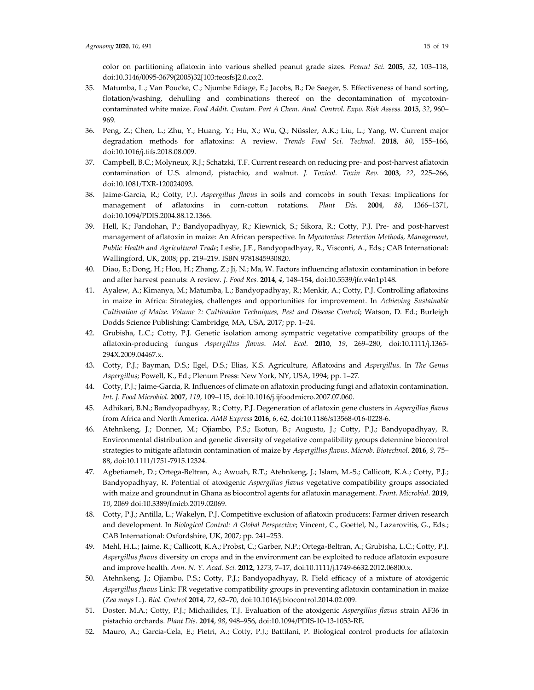color on partitioning aflatoxin into various shelled peanut grade sizes. *Peanut Sci.* **2005**, *32*, 103–118, doi:10.3146/0095-3679(2005)32[103:teosfs]2.0.co;2.

- 35. Matumba, L.; Van Poucke, C.; Njumbe Ediage, E.; Jacobs, B.; De Saeger, S. Effectiveness of hand sorting, flotation/washing, dehulling and combinations thereof on the decontamination of mycotoxincontaminated white maize. *Food Addit. Contam. Part A Chem. Anal. Control. Expo. Risk Assess.* **2015**, *32*, 960– 969.
- 36. Peng, Z.; Chen, L.; Zhu, Y.; Huang, Y.; Hu, X.; Wu, Q.; Nüssler, A.K.; Liu, L.; Yang, W. Current major degradation methods for aflatoxins: A review. *Trends Food Sci. Technol.* **2018**, *80*, 155–166, doi:10.1016/j.tifs.2018.08.009.
- 37. Campbell, B.C.; Molyneux, R.J.; Schatzki, T.F. Current research on reducing pre- and post-harvest aflatoxin contamination of U.S. almond, pistachio, and walnut. *J. Toxicol. Toxin Rev.* **2003**, *22*, 225–266, doi:10.1081/TXR-120024093.
- 38. Jaime-Garcia, R.; Cotty, P.J. *Aspergillus flavus* in soils and corncobs in south Texas: Implications for management of aflatoxins in corn-cotton rotations. *Plant Dis.* **2004**, *88*, 1366–1371, doi:10.1094/PDIS.2004.88.12.1366.
- 39. Hell, K.; Fandohan, P.; Bandyopadhyay, R.; Kiewnick, S.; Sikora, R.; Cotty, P.J. Pre- and post-harvest management of aflatoxin in maize: An African perspective. In *Mycotoxins: Detection Methods, Management, Public Health and Agricultural Trade*; Leslie, J.F., Bandyopadhyay, R., Visconti, A., Eds.; CAB International: Wallingford, UK, 2008; pp. 219–219. ISBN 9781845930820.
- 40. Diao, E.; Dong, H.; Hou, H.; Zhang, Z.; Ji, N.; Ma, W. Factors influencing aflatoxin contamination in before and after harvest peanuts: A review. *J. Food Res.* **2014**, *4*, 148–154, doi:10.5539/jfr.v4n1p148.
- 41. Ayalew, A.; Kimanya, M.; Matumba, L.; Bandyopadhyay, R.; Menkir, A.; Cotty, P.J. Controlling aflatoxins in maize in Africa: Strategies, challenges and opportunities for improvement. In *Achieving Sustainable Cultivation of Maize. Volume 2: Cultivation Techniques, Pest and Disease Control*; Watson, D. Ed.; Burleigh Dodds Science Publishing: Cambridge, MA, USA, 2017; pp. 1–24.
- 42. Grubisha, L.C.; Cotty, P.J. Genetic isolation among sympatric vegetative compatibility groups of the aflatoxin-producing fungus *Aspergillus flavus*. *Mol. Ecol.* **2010**, *19*, 269–280, doi:10.1111/j.1365- 294X.2009.04467.x.
- 43. Cotty, P.J.; Bayman, D.S.; Egel, D.S.; Elias, K.S. Agriculture, Aflatoxins and *Aspergillus*. In *The Genus Aspergillus*; Powell, K., Ed.; Plenum Press: New York, NY, USA, 1994; pp. 1–27.
- 44. Cotty, P.J.; Jaime-Garcia, R. Influences of climate on aflatoxin producing fungi and aflatoxin contamination. *Int. J. Food Microbiol.* **2007**, *119*, 109–115, doi:10.1016/j.ijfoodmicro.2007.07.060.
- 45. Adhikari, B.N.; Bandyopadhyay, R.; Cotty, P.J. Degeneration of aflatoxin gene clusters in *Aspergillus flavus* from Africa and North America. *AMB Express* **2016**, *6*, 62, doi:10.1186/s13568-016-0228-6.
- 46. Atehnkeng, J.; Donner, M.; Ojiambo, P.S.; Ikotun, B.; Augusto, J.; Cotty, P.J.; Bandyopadhyay, R. Environmental distribution and genetic diversity of vegetative compatibility groups determine biocontrol strategies to mitigate aflatoxin contamination of maize by *Aspergillus flavus*. *Microb. Biotechnol.* **2016**, *9*, 75– 88, doi:10.1111/1751-7915.12324.
- 47. Agbetiameh, D.; Ortega-Beltran, A.; Awuah, R.T.; Atehnkeng, J.; Islam, M.-S.; Callicott, K.A.; Cotty, P.J.; Bandyopadhyay, R. Potential of atoxigenic *Aspergillus flavus* vegetative compatibility groups associated with maize and groundnut in Ghana as biocontrol agents for aflatoxin management. *Front. Microbiol.* **2019**, *10*, 2069 doi:10.3389/fmicb.2019.02069.
- 48. Cotty, P.J.; Antilla, L.; Wakelyn, P.J. Competitive exclusion of aflatoxin producers: Farmer driven research and development. In *Biological Control: A Global Perspective*; Vincent, C., Goettel, N., Lazarovitis, G., Eds.; CAB International: Oxfordshire, UK, 2007; pp. 241–253.
- 49. Mehl, H.L.; Jaime, R.; Callicott, K.A.; Probst, C.; Garber, N.P.; Ortega-Beltran, A.; Grubisha, L.C.; Cotty, P.J. *Aspergillus flavus* diversity on crops and in the environment can be exploited to reduce aflatoxin exposure and improve health. *Ann. N. Y. Acad. Sci.* **2012**, *1273*, 7–17, doi:10.1111/j.1749-6632.2012.06800.x.
- 50. Atehnkeng, J.; Ojiambo, P.S.; Cotty, P.J.; Bandyopadhyay, R. Field efficacy of a mixture of atoxigenic *Aspergillus flavus* Link: FR vegetative compatibility groups in preventing aflatoxin contamination in maize (*Zea mays* L.). *Biol. Control* **2014**, *72*, 62–70, doi:10.1016/j.biocontrol.2014.02.009.
- 51. Doster, M.A.; Cotty, P.J.; Michailides, T.J. Evaluation of the atoxigenic *Aspergillus flavus* strain AF36 in pistachio orchards. *Plant Dis.* **2014**, *98*, 948–956, doi:10.1094/PDIS-10-13-1053-RE.
- 52. Mauro, A.; Garcia-Cela, E.; Pietri, A.; Cotty, P.J.; Battilani, P. Biological control products for aflatoxin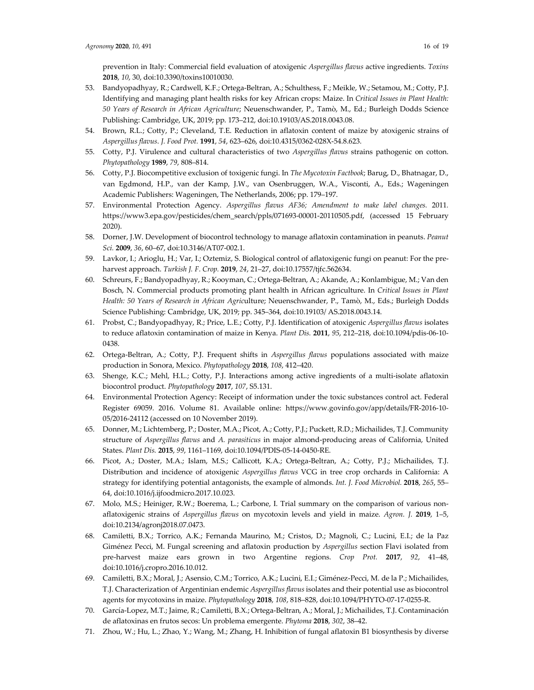prevention in Italy: Commercial field evaluation of atoxigenic *Aspergillus flavus* active ingredients. *Toxins*  **2018**, *10*, 30, doi:10.3390/toxins10010030.

- 53. Bandyopadhyay, R.; Cardwell, K.F.; Ortega-Beltran, A.; Schulthess, F.; Meikle, W.; Setamou, M.; Cotty, P.J. Identifying and managing plant health risks for key African crops: Maize. In *Critical Issues in Plant Health: 50 Years of Research in African Agriculture*; Neuenschwander, P., Tamò, M., Ed.; Burleigh Dodds Science Publishing: Cambridge, UK, 2019; pp. 173–212, doi:10.19103/AS.2018.0043.08.
- 54. Brown, R.L.; Cotty, P.; Cleveland, T.E. Reduction in aflatoxin content of maize by atoxigenic strains of *Aspergillus flavus*. *J. Food Prot.* **1991**, *54*, 623–626, doi:10.4315/0362-028X-54.8.623.
- 55. Cotty, P.J. Virulence and cultural characteristics of two *Aspergillus flavus* strains pathogenic on cotton. *Phytopathology* **1989**, *79*, 808–814.
- 56. Cotty, P.J. Biocompetitive exclusion of toxigenic fungi. In *The Mycotoxin Factbook*; Barug, D., Bhatnagar, D., van Egdmond, H.P., van der Kamp, J.W., van Osenbruggen, W.A., Visconti, A., Eds.; Wageningen Academic Publishers: Wageningen, The Netherlands, 2006; pp. 179–197.
- 57. Environmental Protection Agency. *Aspergillus flavus AF36; Amendment to make label changes.* 2011*.*  https://www3.epa.gov/pesticides/chem\_search/ppls/071693-00001-20110505.pdf, (accessed 15 February 2020).
- 58. Dorner, J.W. Development of biocontrol technology to manage aflatoxin contamination in peanuts. *Peanut Sci.* **2009**, *36*, 60–67, doi:10.3146/AT07-002.1.
- 59. Lavkor, I.; Arioglu, H.; Var, I.; Oztemiz, S. Biological control of aflatoxigenic fungi on peanut: For the preharvest approach. *Turkish J. F. Crop.* **2019**, *24*, 21–27, doi:10.17557/tjfc.562634.
- 60. Schreurs, F.; Bandyopadhyay, R.; Kooyman, C.; Ortega-Beltran, A.; Akande, A.; Konlambigue, M.; Van den Bosch, N. Commercial products promoting plant health in African agriculture. In *Critical Issues in Plant Health: 50 Years of Research in African Agric*ulture; Neuenschwander, P., Tamò, M., Eds.; Burleigh Dodds Science Publishing: Cambridge, UK, 2019; pp. 345–364, doi:10.19103/ AS.2018.0043.14.
- 61. Probst, C.; Bandyopadhyay, R.; Price, L.E.; Cotty, P.J. Identification of atoxigenic *Aspergillus flavus* isolates to reduce aflatoxin contamination of maize in Kenya. *Plant Dis.* **2011**, *95*, 212–218, doi:10.1094/pdis-06-10- 0438.
- 62. Ortega-Beltran, A.; Cotty, P.J. Frequent shifts in *Aspergillus flavus* populations associated with maize production in Sonora, Mexico. *Phytopathology* **2018**, *108*, 412–420.
- 63. Shenge, K.C.; Mehl, H.L.; Cotty, P.J. Interactions among active ingredients of a multi-isolate aflatoxin biocontrol product. *Phytopathology* **2017**, *107*, S5.131.
- 64. Environmental Protection Agency: Receipt of information under the toxic substances control act. Federal Register 69059. 2016. Volume 81. Available online: https://www.govinfo.gov/app/details/FR-2016-10- 05/2016-24112 (accessed on 10 November 2019).
- 65. Donner, M.; Lichtemberg, P.; Doster, M.A.; Picot, A.; Cotty, P.J.; Puckett, R.D.; Michailides, T.J. Community structure of *Aspergillus flavus* and *A. parasiticus* in major almond-producing areas of California, United States. *Plant Dis.* **2015**, *99*, 1161–1169, doi:10.1094/PDIS-05-14-0450-RE.
- 66. Picot, A.; Doster, M.A.; Islam, M.S.; Callicott, K.A.; Ortega-Beltran, A.; Cotty, P.J.; Michailides, T.J. Distribution and incidence of atoxigenic *Aspergillus flavus* VCG in tree crop orchards in California: A strategy for identifying potential antagonists, the example of almonds. *Int. J. Food Microbiol.* **2018**, *265*, 55– 64, doi:10.1016/j.ijfoodmicro.2017.10.023.
- 67. Molo, M.S.; Heiniger, R.W.; Boerema, L.; Carbone, I. Trial summary on the comparison of various nonaflatoxigenic strains of *Aspergillus flavus* on mycotoxin levels and yield in maize. *Agron. J.* **2019**, 1–5, doi:10.2134/agronj2018.07.0473.
- 68. Camiletti, B.X.; Torrico, A.K.; Fernanda Maurino, M.; Cristos, D.; Magnoli, C.; Lucini, E.I.; de la Paz Giménez Pecci, M. Fungal screening and aflatoxin production by *Aspergillus* section Flavi isolated from pre-harvest maize ears grown in two Argentine regions. *Crop Prot.* **2017**, *92*, 41–48, doi:10.1016/j.cropro.2016.10.012.
- 69. Camiletti, B.X.; Moral, J.; Asensio, C.M.; Torrico, A.K.; Lucini, E.I.; Giménez-Pecci, M. de la P.; Michailides, T.J. Characterization of Argentinian endemic *Aspergillus flavus* isolates and their potential use as biocontrol agents for mycotoxins in maize. *Phytopathology* **2018**, *108*, 818–828, doi:10.1094/PHYTO-07-17-0255-R.
- 70. García-Lopez, M.T.; Jaime, R.; Camiletti, B.X.; Ortega-Beltran, A.; Moral, J.; Michailides, T.J. Contaminación de aflatoxinas en frutos secos: Un problema emergente. *Phytoma* **2018**, *302*, 38–42.
- 71. Zhou, W.; Hu, L.; Zhao, Y.; Wang, M.; Zhang, H. Inhibition of fungal aflatoxin B1 biosynthesis by diverse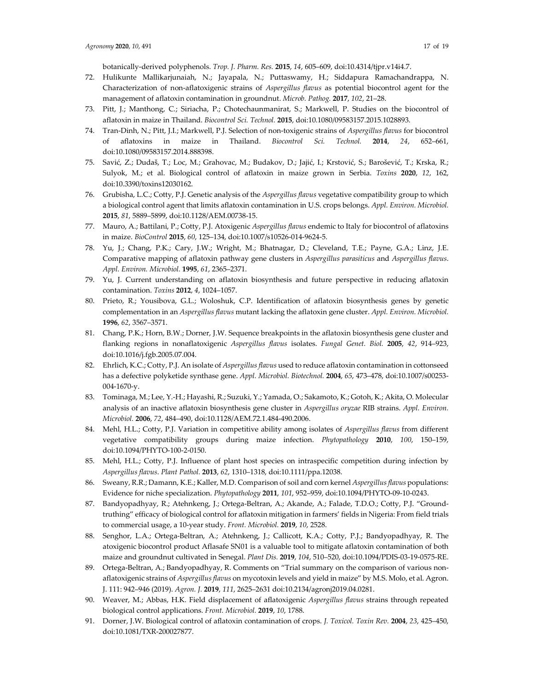botanically-derived polyphenols. *Trop. J. Pharm. Res.* **2015**, *14*, 605–609, doi:10.4314/tjpr.v14i4.7.

- 72. Hulikunte Mallikarjunaiah, N.; Jayapala, N.; Puttaswamy, H.; Siddapura Ramachandrappa, N. Characterization of non-aflatoxigenic strains of *Aspergillus flavus* as potential biocontrol agent for the management of aflatoxin contamination in groundnut. *Microb. Pathog.* **2017**, *102*, 21–28.
- 73. Pitt, J.; Manthong, C.; Siriacha, P.; Chotechaunmanirat, S.; Markwell, P. Studies on the biocontrol of aflatoxin in maize in Thailand. *Biocontrol Sci. Technol.* **2015**, doi:10.1080/09583157.2015.1028893.
- 74. Tran-Dinh, N.; Pitt, J.I.; Markwell, P.J. Selection of non-toxigenic strains of *Aspergillus flavus* for biocontrol of aflatoxins in maize in Thailand. *Biocontrol Sci. Technol.* **2014**, *24*, 652–661, doi:10.1080/09583157.2014.888398.
- 75. Savić, Z.; Dudaš, T.; Loc, M.; Grahovac, M.; Budakov, D.; Jajić, I.; Krstović, S.; Barošević, T.; Krska, R.; Sulyok, M.; et al. Biological control of aflatoxin in maize grown in Serbia. *Toxins* **2020**, *12*, 162, doi:10.3390/toxins12030162.
- 76. Grubisha, L.C.; Cotty, P.J. Genetic analysis of the *Aspergillus flavus* vegetative compatibility group to which a biological control agent that limits aflatoxin contamination in U.S. crops belongs. *Appl. Environ. Microbiol.* **2015**, *81*, 5889–5899, doi:10.1128/AEM.00738-15.
- 77. Mauro, A.; Battilani, P.; Cotty, P.J. Atoxigenic *Aspergillus flavus* endemic to Italy for biocontrol of aflatoxins in maize. *BioControl* **2015**, *60*, 125–134, doi:10.1007/s10526-014-9624-5.
- 78. Yu, J.; Chang, P.K.; Cary, J.W.; Wright, M.; Bhatnagar, D.; Cleveland, T.E.; Payne, G.A.; Linz, J.E. Comparative mapping of aflatoxin pathway gene clusters in *Aspergillus parasiticus* and *Aspergillus flavus*. *Appl. Environ. Microbiol.* **1995**, *61*, 2365–2371.
- 79. Yu, J. Current understanding on aflatoxin biosynthesis and future perspective in reducing aflatoxin contamination. *Toxins* **2012**, *4*, 1024–1057.
- 80. Prieto, R.; Yousibova, G.L.; Woloshuk, C.P. Identification of aflatoxin biosynthesis genes by genetic complementation in an *Aspergillus flavus* mutant lacking the aflatoxin gene cluster. *Appl. Environ. Microbiol.* **1996**, *62*, 3567–3571.
- 81. Chang, P.K.; Horn, B.W.; Dorner, J.W. Sequence breakpoints in the aflatoxin biosynthesis gene cluster and flanking regions in nonaflatoxigenic *Aspergillus flavus* isolates. *Fungal Genet. Biol.* **2005**, *42*, 914–923, doi:10.1016/j.fgb.2005.07.004.
- 82. Ehrlich, K.C.; Cotty, P.J. An isolate of *Aspergillus flavus* used to reduce aflatoxin contamination in cottonseed has a defective polyketide synthase gene. *Appl. Microbiol. Biotechnol.* **2004**, *65*, 473–478, doi:10.1007/s00253- 004-1670-y.
- 83. Tominaga, M.; Lee, Y.-H.; Hayashi, R.; Suzuki, Y.; Yamada, O.; Sakamoto, K.; Gotoh, K.; Akita, O. Molecular analysis of an inactive aflatoxin biosynthesis gene cluster in *Aspergillus oryzae* RIB strains. *Appl. Environ. Microbiol.* **2006**, *72*, 484–490, doi:10.1128/AEM.72.1.484-490.2006.
- 84. Mehl, H.L.; Cotty, P.J. Variation in competitive ability among isolates of *Aspergillus flavus* from different vegetative compatibility groups during maize infection. *Phytopathology* **2010**, *100*, 150–159, doi:10.1094/PHYTO-100-2-0150.
- 85. Mehl, H.L.; Cotty, P.J. Influence of plant host species on intraspecific competition during infection by *Aspergillus flavus*. *Plant Pathol.* **2013**, *62*, 1310–1318, doi:10.1111/ppa.12038.
- 86. Sweany, R.R.; Damann, K.E.; Kaller, M.D. Comparison of soil and corn kernel *Aspergillus flavus* populations: Evidence for niche specialization. *Phytopathology* **2011**, *101*, 952–959, doi:10.1094/PHYTO-09-10-0243.
- 87. Bandyopadhyay, R.; Atehnkeng, J.; Ortega-Beltran, A.; Akande, A.; Falade, T.D.O.; Cotty, P.J. "Groundtruthing" efficacy of biological control for aflatoxin mitigation in farmers' fields in Nigeria: From field trials to commercial usage, a 10-year study. *Front. Microbiol.* **2019**, *10*, 2528.
- 88. Senghor, L.A.; Ortega-Beltran, A.; Atehnkeng, J.; Callicott, K.A.; Cotty, P.J.; Bandyopadhyay, R. The atoxigenic biocontrol product Aflasafe SN01 is a valuable tool to mitigate aflatoxin contamination of both maize and groundnut cultivated in Senegal. *Plant Dis.* **2019**, *104*, 510–520, doi:10.1094/PDIS-03-19-0575-RE.
- 89. Ortega-Beltran, A.; Bandyopadhyay, R. Comments on "Trial summary on the comparison of various nonaflatoxigenic strains of *Aspergillus flavus* on mycotoxin levels and yield in maize" by M.S. Molo, et al. Agron. J. 111: 942–946 (2019). *Agron. J.* **2019**, *111*, 2625–2631 doi:10.2134/agronj2019.04.0281.
- 90. Weaver, M.; Abbas, H.K. Field displacement of aflatoxigenic *Aspergillus flavus* strains through repeated biological control applications. *Front. Microbiol.* **2019**, *10*, 1788.
- 91. Dorner, J.W. Biological control of aflatoxin contamination of crops. *J. Toxicol. Toxin Rev.* **2004**, *23*, 425–450, doi:10.1081/TXR-200027877.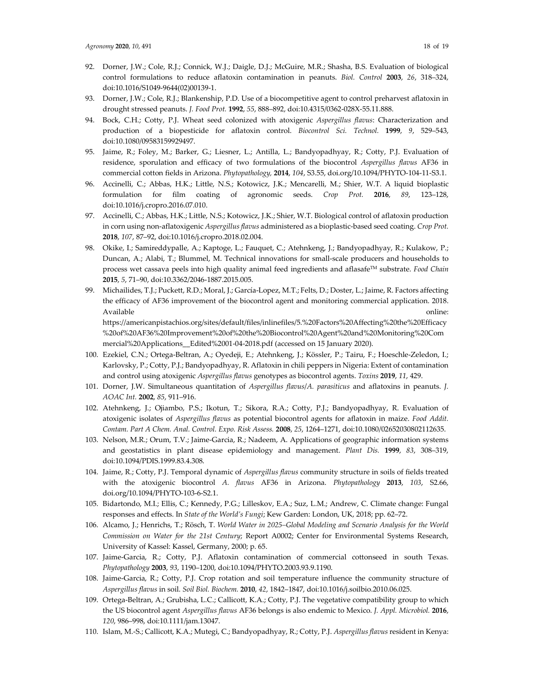- 92. Dorner, J.W.; Cole, R.J.; Connick, W.J.; Daigle, D.J.; McGuire, M.R.; Shasha, B.S. Evaluation of biological control formulations to reduce aflatoxin contamination in peanuts. *Biol. Control* **2003**, *26*, 318–324, doi:10.1016/S1049-9644(02)00139-1.
- 93. Dorner, J.W.; Cole, R.J.; Blankenship, P.D. Use of a biocompetitive agent to control preharvest aflatoxin in drought stressed peanuts. *J. Food Prot.* **1992**, *55*, 888–892, doi:10.4315/0362-028X-55.11.888.
- 94. Bock, C.H.; Cotty, P.J. Wheat seed colonized with atoxigenic *Aspergillus flavus*: Characterization and production of a biopesticide for aflatoxin control. *Biocontrol Sci. Technol.* **1999**, *9*, 529–543, doi:10.1080/09583159929497.
- 95. Jaime, R.; Foley, M.; Barker, G.; Liesner, L.; Antilla, L.; Bandyopadhyay, R.; Cotty, P.J. Evaluation of residence, sporulation and efficacy of two formulations of the biocontrol *Aspergillus flavus* AF36 in commercial cotton fields in Arizona. *Phytopathology,* **2014**, *104*, S3.55, doi.org/10.1094/PHYTO-104-11-S3.1.
- 96. Accinelli, C.; Abbas, H.K.; Little, N.S.; Kotowicz, J.K.; Mencarelli, M.; Shier, W.T. A liquid bioplastic formulation for film coating of agronomic seeds. *Crop Prot.* **2016**, *89*, 123–128, doi:10.1016/j.cropro.2016.07.010.
- 97. Accinelli, C.; Abbas, H.K.; Little, N.S.; Kotowicz, J.K.; Shier, W.T. Biological control of aflatoxin production in corn using non-aflatoxigenic *Aspergillus flavus* administered as a bioplastic-based seed coating. *Crop Prot.* **2018**, *107*, 87–92, doi:10.1016/j.cropro.2018.02.004.
- 98. Okike, I.; Samireddypalle, A.; Kaptoge, L.; Fauquet, C.; Atehnkeng, J.; Bandyopadhyay, R.; Kulakow, P.; Duncan, A.; Alabi, T.; Blummel, M. Technical innovations for small-scale producers and households to process wet cassava peels into high quality animal feed ingredients and aflasafe<sup>TM</sup> substrate. *Food Chain* **2015**, *5*, 71–90, doi:10.3362/2046-1887.2015.005.
- 99. Michailides, T.J.; Puckett, R.D.; Moral, J.; García-Lopez, M.T.; Felts, D.; Doster, L.; Jaime, R. Factors affecting the efficacy of AF36 improvement of the biocontrol agent and monitoring commercial application. 2018. Available **online:**  $\blacksquare$ https://americanpistachios.org/sites/default/files/inlinefiles/5.%20Factors%20Affecting%20the%20Efficacy

%20of%20AF36%20Improvement%20of%20the%20Biocontrol%20Agent%20and%20Monitoring%20Com mercial%20Applications\_\_Edited%2001-04-2018.pdf (accessed on 15 January 2020).

- 100. Ezekiel, C.N.; Ortega-Beltran, A.; Oyedeji, E.; Atehnkeng, J.; Kössler, P.; Tairu, F.; Hoeschle-Zeledon, I.; Karlovsky, P.; Cotty, P.J.; Bandyopadhyay, R. Aflatoxin in chili peppers in Nigeria: Extent of contamination and control using atoxigenic *Aspergillus flavus* genotypes as biocontrol agents. *Toxins* **2019**, *11*, 429.
- 101. Dorner, J.W. Simultaneous quantitation of *Aspergillus flavus*/*A. parasiticus* and aflatoxins in peanuts. *J. AOAC Int.* **2002**, *85*, 911–916.
- 102. Atehnkeng, J.; Ojiambo, P.S.; Ikotun, T.; Sikora, R.A.; Cotty, P.J.; Bandyopadhyay, R. Evaluation of atoxigenic isolates of *Aspergillus flavus* as potential biocontrol agents for aflatoxin in maize. *Food Addit. Contam. Part A Chem. Anal. Control. Expo. Risk Assess.* **2008**, *25*, 1264–1271, doi:10.1080/02652030802112635.
- 103. Nelson, M.R.; Orum, T.V.; Jaime-Garcia, R.; Nadeem, A. Applications of geographic information systems and geostatistics in plant disease epidemiology and management. *Plant Dis.* **1999**, *83*, 308–319, doi:10.1094/PDIS.1999.83.4.308.
- 104. Jaime, R.; Cotty, P.J. Temporal dynamic of *Aspergillus flavus* community structure in soils of fields treated with the atoxigenic biocontrol *A. flavus* AF36 in Arizona. *Phytopathology* **2013**, *103*, S2.66, doi.org/10.1094/PHYTO-103-6-S2.1.
- 105. Bidartondo, M.I.; Ellis, C.; Kennedy, P.G.; Lilleskov, E.A.; Suz, L.M.; Andrew, C. Climate change: Fungal responses and effects. In *State of the World's Fungi*; Kew Garden: London, UK, 2018; pp. 62–72.
- 106. Alcamo, J.; Henrichs, T.; Rösch, T. *World Water in 2025–Global Modeling and Scenario Analysis for the World Commission on Water for the 21st Century*; Report A0002; Center for Environmental Systems Research, University of Kassel: Kassel, Germany, 2000; p. 65.
- 107. Jaime-Garcia, R.; Cotty, P.J. Aflatoxin contamination of commercial cottonseed in south Texas. *Phytopathology* **2003**, *93*, 1190–1200, doi:10.1094/PHYTO.2003.93.9.1190.
- 108. Jaime-Garcia, R.; Cotty, P.J. Crop rotation and soil temperature influence the community structure of *Aspergillus flavus* in soil. *Soil Biol. Biochem.* **2010**, *42*, 1842–1847, doi:10.1016/j.soilbio.2010.06.025.
- 109. Ortega-Beltran, A.; Grubisha, L.C.; Callicott, K.A.; Cotty, P.J. The vegetative compatibility group to which the US biocontrol agent *Aspergillus flavus* AF36 belongs is also endemic to Mexico. *J. Appl. Microbiol.* **2016**, *120*, 986–998, doi:10.1111/jam.13047.
- 110. Islam, M.-S.; Callicott, K.A.; Mutegi, C.; Bandyopadhyay, R.; Cotty, P.J. *Aspergillus flavus* resident in Kenya: